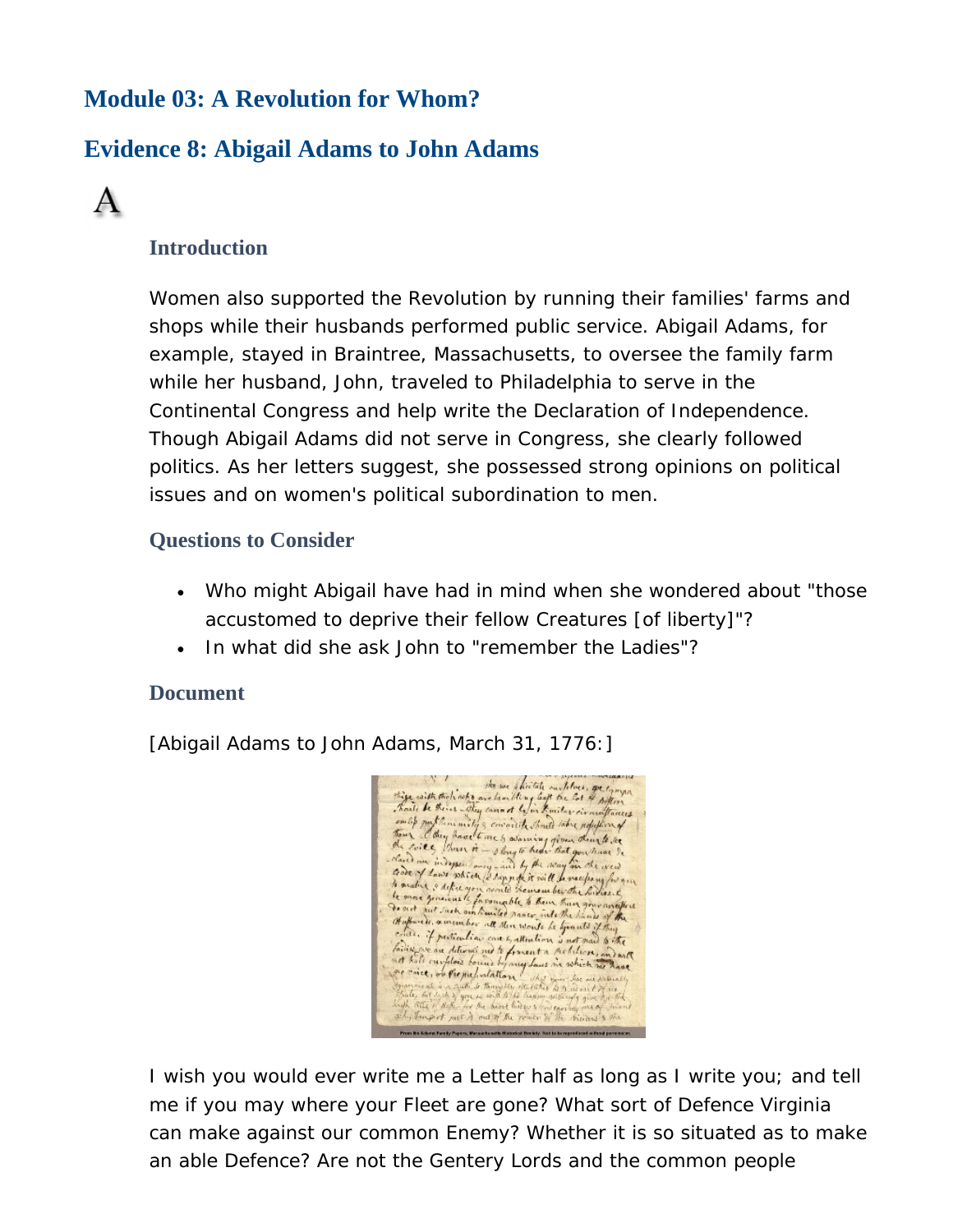# **Module 03: A Revolution for Whom?**

# **Evidence 8: Abigail Adams to John Adams**



### **Introduction**

Women also supported the Revolution by running their families' farms and shops while their husbands performed public service. Abigail Adams, for example, stayed in Braintree, Massachusetts, to oversee the family farm while her husband, John, traveled to Philadelphia to serve in the Continental Congress and help write the Declaration of Independence. Though Abigail Adams did not serve in Congress, she clearly followed politics. As her letters suggest, she possessed strong opinions on political issues and on women's political subordination to men.

#### **Questions to Consider**

- Who might Abigail have had in mind when she wondered about "those accustomed to deprive their fellow Creatures [of liberty]"?
- In what did she ask John to "remember the Ladies"?

#### **Document**

[Abigail Adams to John Adams, March 31, 1776:]

the set that the set thirtely matches , get tymps put the ministy & covered that the refullion of Then they have the short the sale were required to the second the second the second the second the second the second the second the second the second the second the second the second second the second second the second sec to analy and the street (2 days of it will be receipen for a formula to the last of the last of the last of the last of the last of the last of the last of the last of the last of the last of the last of the last of the la critic. if pertending not the name is a special if the<br>failur we are determined to formation word that is a faithful that is a faithful that is a solution of C, or Pre predictation of the of such a cut to by a

I wish you would ever write me a Letter half as long as I write you; and tell me if you may where your Fleet are gone? What sort of Defence Virginia can make against our common Enemy? Whether it is so situated as to make an able Defence? Are not the Gentery Lords and the common people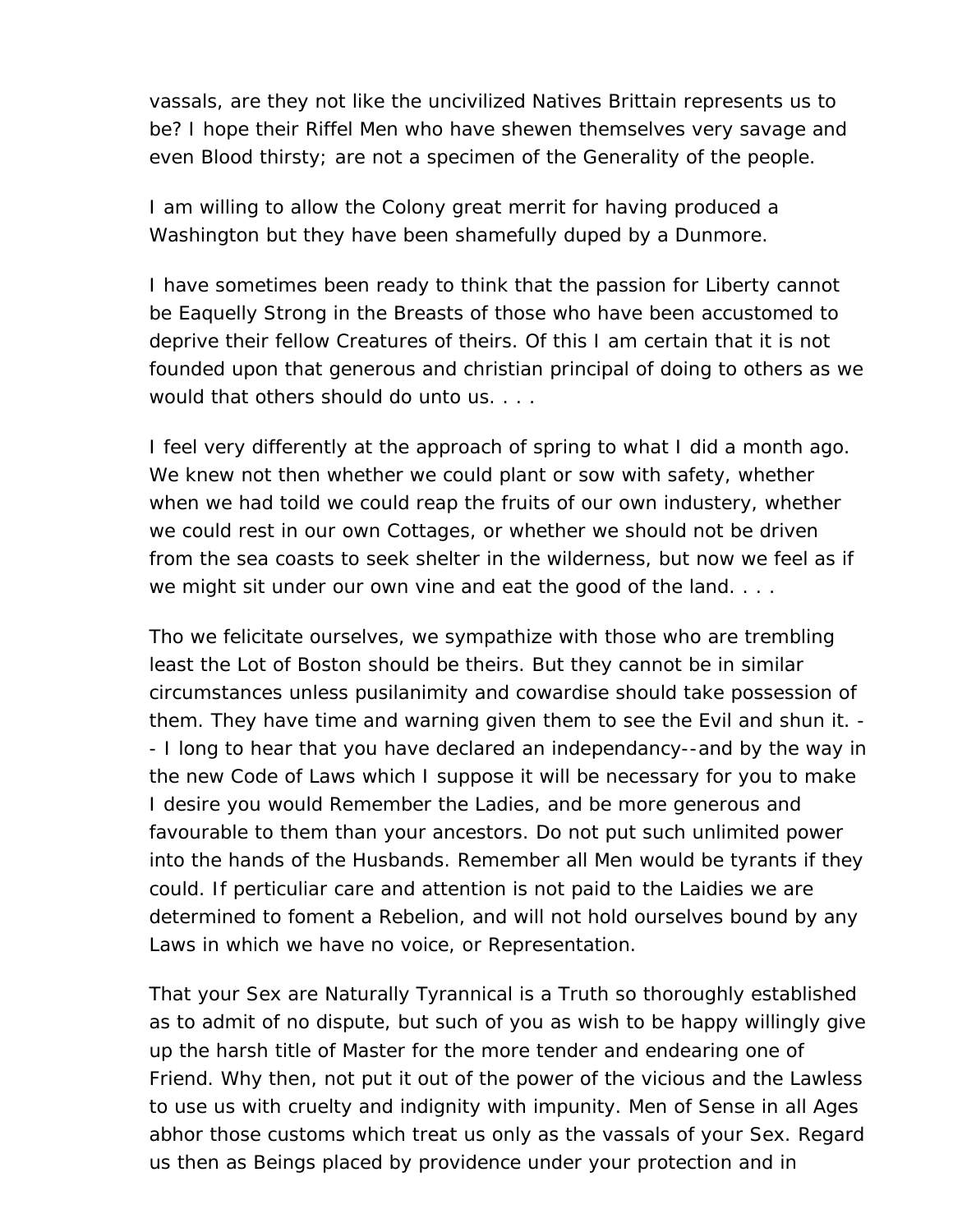vassals, are they not like the uncivilized Natives Brittain represents us to be? I hope their Riffel Men who have shewen themselves very savage and even Blood thirsty; are not a specimen of the Generality of the people.

I am willing to allow the Colony great merrit for having produced a Washington but they have been shamefully duped by a Dunmore.

I have sometimes been ready to think that the passion for Liberty cannot be Eaquelly Strong in the Breasts of those who have been accustomed to deprive their fellow Creatures of theirs. Of this I am certain that it is not founded upon that generous and christian principal of doing to others as we would that others should do unto us. . . .

I feel very differently at the approach of spring to what I did a month ago. We knew not then whether we could plant or sow with safety, whether when we had toild we could reap the fruits of our own industery, whether we could rest in our own Cottages, or whether we should not be driven from the sea coasts to seek shelter in the wilderness, but now we feel as if we might sit under our own vine and eat the good of the land. . . .

Tho we felicitate ourselves, we sympathize with those who are trembling least the Lot of Boston should be theirs. But they cannot be in similar circumstances unless pusilanimity and cowardise should take possession of them. They have time and warning given them to see the Evil and shun it. - - I long to hear that you have declared an independancy--and by the way in the new Code of Laws which I suppose it will be necessary for you to make I desire you would Remember the Ladies, and be more generous and favourable to them than your ancestors. Do not put such unlimited power into the hands of the Husbands. Remember all Men would be tyrants if they could. If perticuliar care and attention is not paid to the Laidies we are determined to foment a Rebelion, and will not hold ourselves bound by any Laws in which we have no voice, or Representation.

That your Sex are Naturally Tyrannical is a Truth so thoroughly established as to admit of no dispute, but such of you as wish to be happy willingly give up the harsh title of Master for the more tender and endearing one of Friend. Why then, not put it out of the power of the vicious and the Lawless to use us with cruelty and indignity with impunity. Men of Sense in all Ages abhor those customs which treat us only as the vassals of your Sex. Regard us then as Beings placed by providence under your protection and in